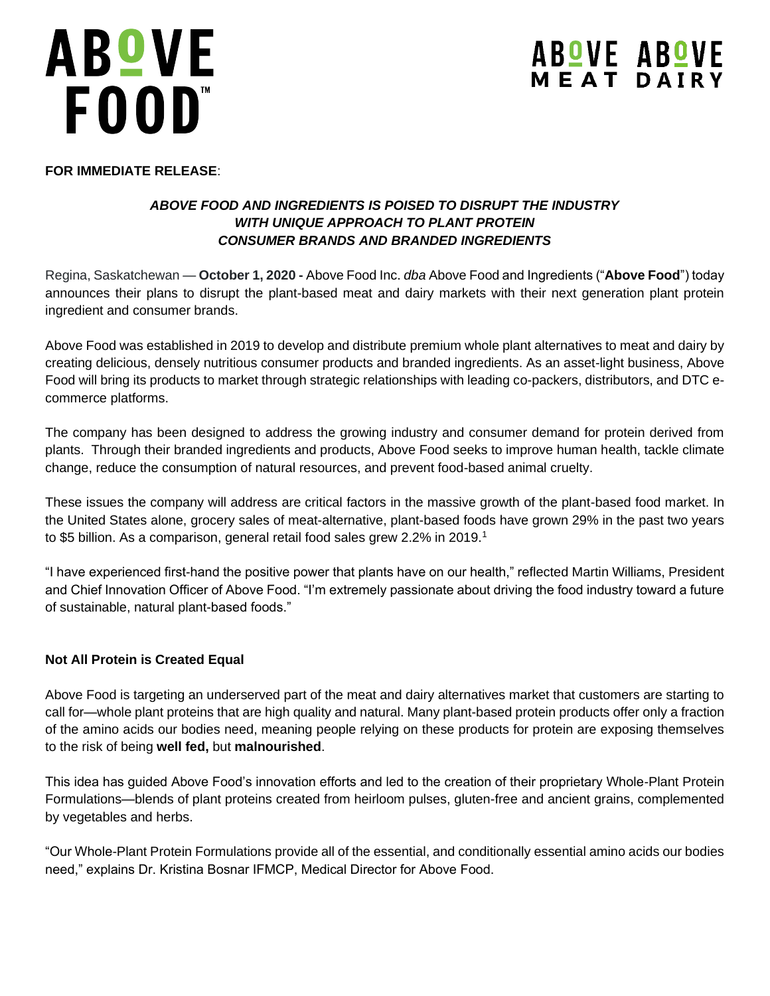# ABºVE FOOD"

# **ABOVE ABOVE**<br>MEAT DAIRY

# **FOR IMMEDIATE RELEASE**:

# *ABOVE FOOD AND INGREDIENTS IS POISED TO DISRUPT THE INDUSTRY WITH UNIQUE APPROACH TO PLANT PROTEIN CONSUMER BRANDS AND BRANDED INGREDIENTS*

Regina, Saskatchewan — **October 1, 2020 -** Above Food Inc. *dba* Above Food and Ingredients ("**Above Food**") today announces their plans to disrupt the plant-based meat and dairy markets with their next generation plant protein ingredient and consumer brands.

Above Food was established in 2019 to develop and distribute premium whole plant alternatives to meat and dairy by creating delicious, densely nutritious consumer products and branded ingredients. As an asset-light business, Above Food will bring its products to market through strategic relationships with leading co-packers, distributors, and DTC ecommerce platforms.

The company has been designed to address the growing industry and consumer demand for protein derived from plants. Through their branded ingredients and products, Above Food seeks to improve human health, tackle climate change, reduce the consumption of natural resources, and prevent food-based animal cruelty.

These issues the company will address are critical factors in the massive growth of the plant-based food market. In the United States alone, grocery sales of meat-alternative, plant-based foods have grown 29% in the past two years to \$5 billion. As a comparison, general retail food sales grew 2.2% in 2019.<sup>1</sup>

"I have experienced first-hand the positive power that plants have on our health," reflected Martin Williams, President and Chief Innovation Officer of Above Food. "I'm extremely passionate about driving the food industry toward a future of sustainable, natural plant-based foods."

# **Not All Protein is Created Equal**

Above Food is targeting an underserved part of the meat and dairy alternatives market that customers are starting to call for—whole plant proteins that are high quality and natural. Many plant-based protein products offer only a fraction of the amino acids our bodies need, meaning people relying on these products for protein are exposing themselves to the risk of being **well fed,** but **malnourished**.

This idea has guided Above Food's innovation efforts and led to the creation of their proprietary Whole-Plant Protein Formulations—blends of plant proteins created from heirloom pulses, gluten-free and ancient grains, complemented by vegetables and herbs.

"Our Whole-Plant Protein Formulations provide all of the essential, and conditionally essential amino acids our bodies need," explains Dr. Kristina Bosnar IFMCP, Medical Director for Above Food.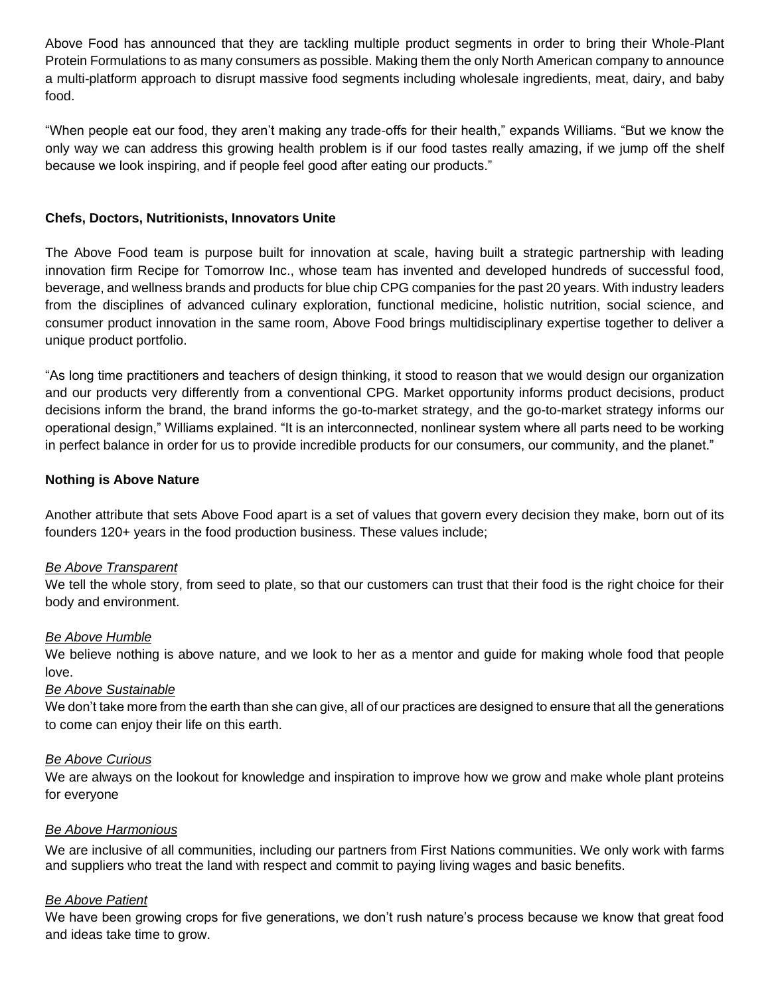Above Food has announced that they are tackling multiple product segments in order to bring their Whole-Plant Protein Formulations to as many consumers as possible. Making them the only North American company to announce a multi-platform approach to disrupt massive food segments including wholesale ingredients, meat, dairy, and baby food.

"When people eat our food, they aren't making any trade-offs for their health," expands Williams. "But we know the only way we can address this growing health problem is if our food tastes really amazing, if we jump off the shelf because we look inspiring, and if people feel good after eating our products."

### **Chefs, Doctors, Nutritionists, Innovators Unite**

The Above Food team is purpose built for innovation at scale, having built a strategic partnership with leading innovation firm Recipe for Tomorrow Inc., whose team has invented and developed hundreds of successful food, beverage, and wellness brands and products for blue chip CPG companies for the past 20 years. With industry leaders from the disciplines of advanced culinary exploration, functional medicine, holistic nutrition, social science, and consumer product innovation in the same room, Above Food brings multidisciplinary expertise together to deliver a unique product portfolio.

"As long time practitioners and teachers of design thinking, it stood to reason that we would design our organization and our products very differently from a conventional CPG. Market opportunity informs product decisions, product decisions inform the brand, the brand informs the go-to-market strategy, and the go-to-market strategy informs our operational design," Williams explained. "It is an interconnected, nonlinear system where all parts need to be working in perfect balance in order for us to provide incredible products for our consumers, our community, and the planet."

#### **Nothing is Above Nature**

Another attribute that sets Above Food apart is a set of values that govern every decision they make, born out of its founders 120+ years in the food production business. These values include;

#### *Be Above Transparent*

We tell the whole story, from seed to plate, so that our customers can trust that their food is the right choice for their body and environment.

#### *Be Above Humble*

We believe nothing is above nature, and we look to her as a mentor and guide for making whole food that people love.

#### *Be Above Sustainable*

We don't take more from the earth than she can give, all of our practices are designed to ensure that all the generations to come can enjoy their life on this earth.

#### *Be Above Curious*

We are always on the lookout for knowledge and inspiration to improve how we grow and make whole plant proteins for everyone

#### *Be Above Harmonious*

We are inclusive of all communities, including our partners from First Nations communities. We only work with farms and suppliers who treat the land with respect and commit to paying living wages and basic benefits.

#### *Be Above Patient*

We have been growing crops for five generations, we don't rush nature's process because we know that great food and ideas take time to grow.